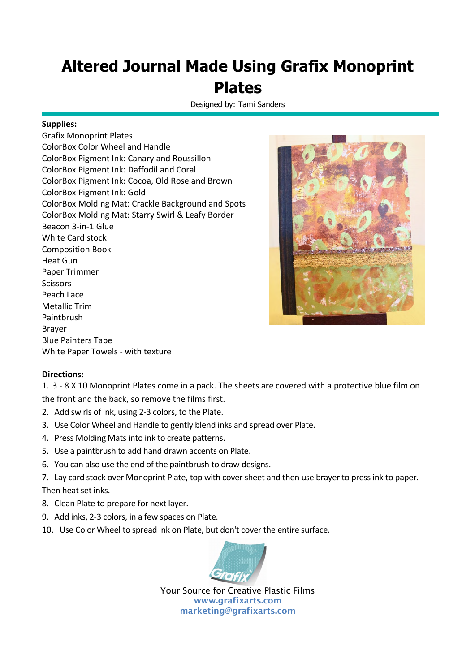## **Altered Journal Made Using Grafix Monoprint Plates**

Designed by: Tami Sanders

## **Supplies:**

Grafix Monoprint Plates ColorBox Color Wheel and Handle ColorBox Pigment Ink: Canary and Roussillon ColorBox Pigment Ink: Daffodil and Coral ColorBox Pigment Ink: Cocoa, Old Rose and Brown ColorBox Pigment Ink: Gold ColorBox Molding Mat: Crackle Background and Spots ColorBox Molding Mat: Starry Swirl & Leafy Border Beacon 3-in-1 Glue White Card stock Composition Book Heat Gun Paper Trimmer Scissors Peach Lace Metallic Trim Paintbrush Brayer Blue Painters Tape White Paper Towels - with texture



## **Directions:**

1. 3 - 8 X 10 Monoprint Plates come in a pack. The sheets are covered with a protective blue film on the front and the back, so remove the films first.

- 2. Add swirls of ink, using 2-3 colors, to the Plate.
- 3. Use Color Wheel and Handle to gently blend inks and spread over Plate.
- 4. Press Molding Mats into ink to create patterns.
- 5. Use a paintbrush to add hand drawn accents on Plate.
- 6. You can also use the end of the paintbrush to draw designs.
- 7. Lay card stock over Monoprint Plate, top with cover sheet and then use brayer to press ink to paper. Then heat set inks.
- 8. Clean Plate to prepare for next layer.
- 9. Add inks, 2-3 colors, in a few spaces on Plate.
- 10. Use Color Wheel to spread ink on Plate, but don't cover the entire surface.



Your Source for Creative Plastic Films **www.grafixarts.com marketing@grafixarts.com**